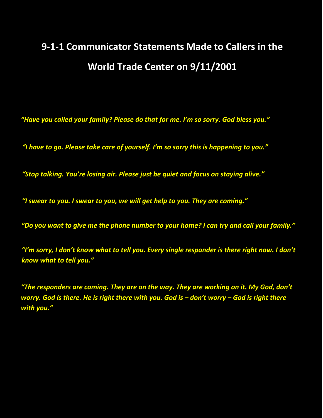# **9‐1‐1 Communicator Statements Made to Callers in the World Trade Center on 9/11/2001**

*"Have you called your family? Please do that for me. I'm so sorry. God bless you."*

*"I have to go. Please take care of yourself. I'm so sorry this is happening to you."*

*"Stop talking. You're losing air. Please just be quiet and focus on staying alive."*

*"I swear to you. I swear to you, we will get help to you. They are coming."*

*"Do you want to give me the phone number to your home? I can try and call your family."*

*"I'm sorry, I don't know what to tell you. Every single responder is there right now. I don't know what to tell you."* 

*"The responders are coming. They are on the way. They are working on it. My God, don't worry. God is there. He is right there with you. God is – don't worry – God is right there with you."*